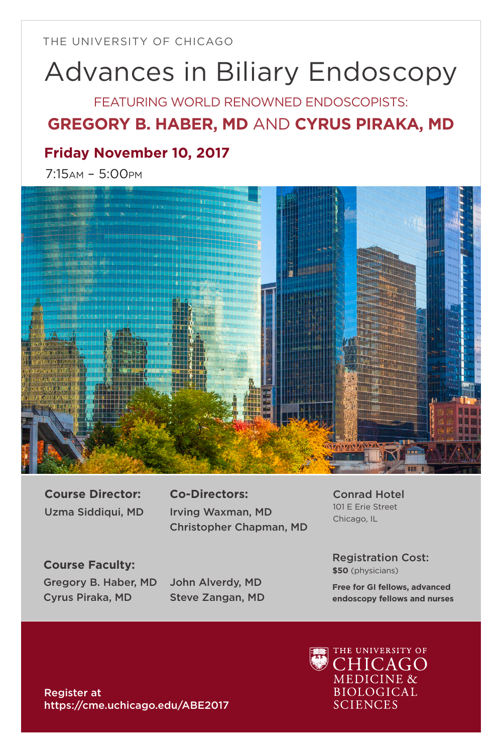THE UNIVERSITY OF CHICAGO

# Advances in Biliary Endoscopy

FEATURING WORLD RENOWNED ENDOSCOPISTS:

## **GREGORY B. HABER, MD** AND **CYRUS PIRAKA, MD**

## **Friday November 10, 2017**

7:15am – 5:00pm



**Course Director:**  Uzma Siddiqui, MD

**Co-Directors:**  Irving Waxman, MD Christopher Chapman, MD

**Course Faculty:** Gregory B. Haber, MD Cyrus Piraka, MD

John Alverdy, MD Steve Zangan, MD Conrad Hotel 101 E Erie Street Chicago, IL

Registration Cost: **\$50** (physicians)

**Free for GI fellows, advanced endoscopy fellows and nurses**

Register at https://cme.uchicago.edu/ABE2017

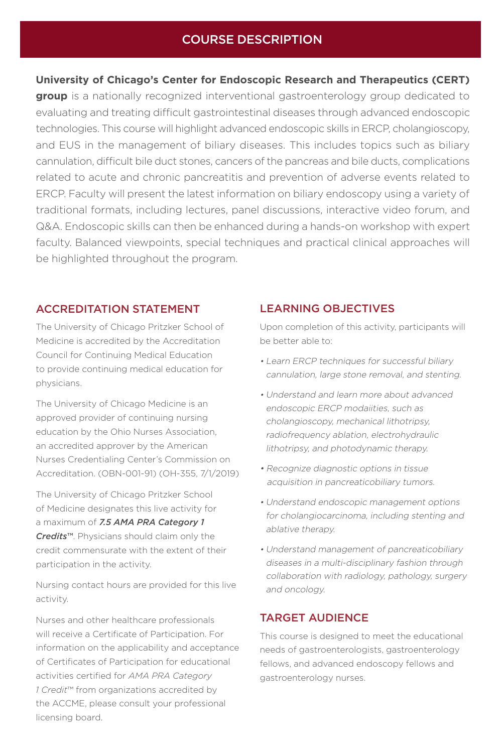#### COURSE DESCRIPTION

**University of Chicago's Center for Endoscopic Research and Therapeutics (CERT)** 

**group** is a nationally recognized interventional gastroenterology group dedicated to evaluating and treating difficult gastrointestinal diseases through advanced endoscopic technologies. This course will highlight advanced endoscopic skills in ERCP, cholangioscopy, and EUS in the management of biliary diseases. This includes topics such as biliary cannulation, difficult bile duct stones, cancers of the pancreas and bile ducts, complications related to acute and chronic pancreatitis and prevention of adverse events related to ERCP. Faculty will present the latest information on biliary endoscopy using a variety of traditional formats, including lectures, panel discussions, interactive video forum, and Q&A. Endoscopic skills can then be enhanced during a hands-on workshop with expert faculty. Balanced viewpoints, special techniques and practical clinical approaches will be highlighted throughout the program.

#### ACCREDITATION STATEMENT

The University of Chicago Pritzker School of Medicine is accredited by the Accreditation Council for Continuing Medical Education to provide continuing medical education for physicians.

The University of Chicago Medicine is an approved provider of continuing nursing education by the Ohio Nurses Association, an accredited approver by the American Nurses Credentialing Center's Commission on Accreditation. (OBN-001-91) (OH-355, 7/1/2019)

The University of Chicago Pritzker School of Medicine designates this live activity for a maximum of *7.5 AMA PRA Category 1 Credits*™. Physicians should claim only the credit commensurate with the extent of their participation in the activity.

Nursing contact hours are provided for this live activity.

Nurses and other healthcare professionals will receive a Certificate of Participation. For information on the applicability and acceptance of Certificates of Participation for educational activities certified for *AMA PRA Category 1 Credit*™ from organizations accredited by the ACCME, please consult your professional licensing board.

#### LEARNING OBJECTIVES

Upon completion of this activity, participants will be better able to:

- Learn ERCP techniques for successful biliary cannulation, large stone removal, and stenting.
- Understand and learn more about advanced endoscopic ERCP modaiities, such as cholangioscopy, mechanical lithotripsy, radiofrequency ablation, electrohydraulic lithotripsy, and photodynamic therapy.
- Recognize diagnostic options in tissue acquisition in pancreaticobiliary tumors.
- Understand endoscopic management options for cholangiocarcinoma, including stenting and ablative therapy.
- Understand management of pancreaticobiliary diseases in a multi-disciplinary fashion through collaboration with radiology, pathology, surgery and oncology.

#### TARGET AUDIENCE

This course is designed to meet the educational needs of gastroenterologists, gastroenterology fellows, and advanced endoscopy fellows and gastroenterology nurses.